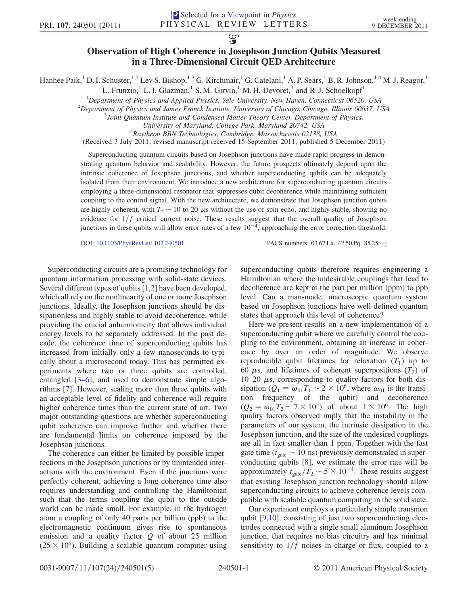$\overline{\mathcal{G}}$ 

## Observation of High Coherence in Josephson Junction Qubits Measured in a Three-Dimensional Circuit QED Architecture

Hanhee Paik,<sup>1</sup> D. I. Schuster,<sup>1,2</sup> Lev S. Bishop,<sup>1,3</sup> G. Kirchmair,<sup>1</sup> G. Catelani,<sup>1</sup> A. P. Sears,<sup>1</sup> B. R. Johnson,<sup>1,4</sup> M. J. Reagor,<sup>1</sup>

L. Frunzio,<sup>1</sup> L. I. Glazman,<sup>1</sup> S. M. Girvin,<sup>1</sup> M. H. Devoret,<sup>1</sup> and R. J. Schoelkopf<sup>1</sup>

<sup>1</sup>Department of Physics and Applied Physics, Yale University, New Haven, Connecticut 06520, USA<br><sup>2</sup>Department of Physics and James Franck Institute University of Chicago, Chicago, Illinois 60637, U

 $^{2}$ Department of Physics and James Franck Institute, University of Chicago, Chicago, Illinois 60637, USA

 $3$ Joint Quantum Institute and Condensed Matter Theory Center, Department of Physics,

University of Maryland, College Park, Maryland 20742, USA <sup>4</sup>

 ${}^{4}$ Raytheon BBN Technologies, Cambridge, Massachusetts 02138, USA

(Received 3 July 2011; revised manuscript received 15 September 2011; published 5 December 2011)

Superconducting quantum circuits based on Josephson junctions have made rapid progress in demonstrating quantum behavior and scalability. However, the future prospects ultimately depend upon the intrinsic coherence of Josephson junctions, and whether superconducting qubits can be adequately isolated from their environment. We introduce a new architecture for superconducting quantum circuits employing a three-dimensional resonator that suppresses qubit decoherence while maintaining sufficient coupling to the control signal. With the new architecture, we demonstrate that Josephson junction qubits are highly coherent, with  $T_2 \sim 10$  to 20  $\mu$ s without the use of spin echo, and highly stable, showing no<br>evidence for  $1/f$  critical current poise. These results suggest that the overall quality of Josephson evidence for  $1/f$  critical current noise. These results suggest that the overall quality of Josephson junctions in these qubits will allow error rates of a few  $10^{-4}$ , approaching the error correction threshold.

DOI: 10.1103/PhysRevLett.107.240501 PACS numbers: 03.67.Lx, 42.50.Pq, 85.25.-j

Superconducting circuits are a promising technology for quantum information processing with solid-state devices. Several different types of qubits [1,2] have been developed, which all rely on the nonlinearity of one or more Josephson junctions. Ideally, the Josephson junctions should be dissipationless and highly stable to avoid decoherence, while providing the crucial anharmonicity that allows individual energy levels to be separately addressed. In the past decade, the coherence time of superconducting qubits has increased from initially only a few nanoseconds to typically about a microsecond today. This has permitted experiments where two or three qubits are controlled, entangled [3–6], and used to demonstrate simple algorithms [7]. However, scaling more than three qubits with an acceptable level of fidelity and coherence will require higher coherence times than the current state of art. Two major outstanding questions are whether superconducting qubit coherence can improve further and whether there are fundamental limits on coherence imposed by the Josephson junctions.

The coherence can either be limited by possible imperfections in the Josephson junctions or by unintended interactions with the environment. Even if the junctions were perfectly coherent, achieving a long coherence time also requires understanding and controlling the Hamiltonian such that the terms coupling the qubit to the outside world can be made small. For example, in the hydrogen atom a coupling of only 40 parts per billion (ppb) to the electromagnetic continuum gives rise to spontaneous emission and a quality factor  $Q$  of about 25 million  $(25 \times 10^6)$ . Building a scalable quantum computer using superconducting qubits therefore requires engineering a Hamiltonian where the undesirable couplings that lead to decoherence are kept at the part per million (ppm) to ppb level. Can a man-made, macroscopic quantum system based on Josephson junctions have well-defined quantum states that approach this level of coherence?

Here we present results on a new implementation of a superconducting qubit where we carefully control the coupling to the environment, obtaining an increase in coherence by over an order of magnitude. We observe reproducible qubit lifetimes for relaxation  $(T_1)$  up to 60  $\mu$ s, and lifetimes of coherent superpositions (T<sub>2</sub>) of 10–20  $\mu$ s corresponding to quality factors for both dis-10–20  $\mu$ s, corresponding to quality factors for both dissipation ( $Q_1 = \omega_{01} T_1 \approx 2 \times 10^6$  where  $\omega_{01}$  is the transisipation  $(Q_1 = \omega_{01} T_1 \sim 2 \times 10^6$ , where  $\omega_{01}$  is the transi-<br>tion frequency of the qubit) and decoherence tion frequency of the qubit) and decoherence  $(Q_2 = \omega_{01}T_2 \sim 7 \times 10^5)$  of about  $1 \times 10^6$ . The high quality factors observed imply that the instability in the quality factors observed imply that the instability in the parameters of our system, the intrinsic dissipation in the Josephson junction, and the size of the undesired couplings are all in fact smaller than 1 ppm. Together with the fast gate time ( $t_{\text{gate}} \sim 10 \text{ ns}$ ) previously demonstrated in super-<br>conducting qubits  $\frac{[8]}{[8]}$  we estimate the error rate will be conducting qubits [8], we estimate the error rate will be approximately  $t_{\text{gate}}/T_2 \sim 5 \times 10^{-4}$ . These results suggest<br>that existing Josephson junction technology should allow that existing Josephson junction technology should allow superconducting circuits to achieve coherence levels compatible with scalable quantum computing in the solid state.

Our experiment employs a particularly simple transmon qubit [9,10], consisting of just two superconducting electrodes connected with a single small aluminum Josephson junction, that requires no bias circuitry and has minimal sensitivity to  $1/f$  noises in charge or flux, coupled to a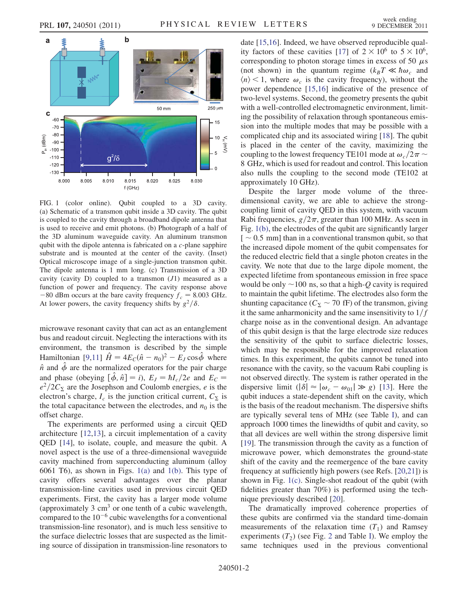

FIG. 1 (color online). Qubit coupled to a 3D cavity. (a) Schematic of a transmon qubit inside a 3D cavity. The qubit is coupled to the cavity through a broadband dipole antenna that is used to receive and emit photons. (b) Photograph of a half of the 3D aluminum waveguide cavity. An aluminum transmon qubit with the dipole antenna is fabricated on a c-plane sapphire substrate and is mounted at the center of the cavity. (Inset) Optical microscope image of a single-junction transmon qubit. The dipole antenna is 1 mm long. (c) Transmission of a 3D cavity (cavity D) coupled to a transmon  $(J1)$  measured as a function of power and frequency. The cavity response above  $-80$  dBm occurs at the bare cavity frequency  $f_c = 8.003$  GHz. At lower powers, the cavity frequency shifts by  $g^2/\delta$ .

microwave resonant cavity that can act as an entanglement bus and readout circuit. Neglecting the interactions with its environment, the transmon is described by the simple Hamiltonian [9,11]  $\hat{H} = 4E_C(\hat{n} - n_0)^2 - E_J \cos\hat{\phi}$  where  $\hat{n}$  and  $\hat{\phi}$  are the normalized operators for the pair charge and phase (obeying  $[\hat{\phi}, \hat{n}] = i$ ),  $E_J = \hbar I_c/2e$  and  $E_C =$  $e^2/2C_{\Sigma}$  are the Josephson and Coulomb energies, e is the electron's charge I is the junction critical current  $C_{\Sigma}$  is electron's charge,  $I_c$  is the junction critical current,  $C_{\Sigma}$  is the total canacitance between the electrodes and  $n_0$  is the the total capacitance between the electrodes, and  $n_0$  is the offset charge.

The experiments are performed using a circuit QED architecture [12,13], a circuit implementation of a cavity QED [14], to isolate, couple, and measure the qubit. A novel aspect is the use of a three-dimensional waveguide cavity machined from superconducting aluminum (alloy 6061 T6), as shown in Figs. 1(a) and 1(b). This type of cavity offers several advantages over the planar transmission-line cavities used in previous circuit QED experiments. First, the cavity has a larger mode volume (approximately 3  $\text{cm}^3$  or one tenth of a cubic wavelength, compared to the  $10^{-6}$  cubic wavelengths for a conventional transmission-line resonator), and is much less sensitive to the surface dielectric losses that are suspected as the limiting source of dissipation in transmission-line resonators to date [15,16]. Indeed, we have observed reproducible quality factors of these cavities [17] of  $2 \times 10^6$  to  $5 \times 10^6$ , corresponding to photon storage times in excess of 50  $\mu$ s<br>(not shown) in the quantum regime  $(k_{\rm B}T \ll \hbar \omega$  and (not shown) in the quantum regime  $(k_BT \ll \hbar \omega_c$  and  $\langle n \rangle$  < 1, where  $\omega_c$  is the cavity frequency), without the power dependence [15,16] indicative of the presence of two-level systems. Second, the geometry presents the qubit with a well-controlled electromagnetic environment, limiting the possibility of relaxation through spontaneous emission into the multiple modes that may be possible with a complicated chip and its associated wiring [18]. The qubit is placed in the center of the cavity, maximizing the coupling to the lowest frequency TE101 mode at  $\omega_c/2\pi \sim$ <br>8 GHz, which is used for readout and control. This location 8 GHz, which is used for readout and control. This location also nulls the coupling to the second mode (TE102 at approximately 10 GHz).

Despite the larger mode volume of the threedimensional cavity, we are able to achieve the strongcoupling limit of cavity QED in this system, with vacuum Rabi frequencies,  $g/2\pi$ , greater than 100 MHz. As seen in Fig. 1(b), the electrodes of the qubit are significantly larger  $[$   $\sim$  0.5 mm] than in a conventional transmon qubit, so that the increased dipole moment of the qubit compensates for the increased dipole moment of the qubit compensates for the reduced electric field that a single photon creates in the cavity. We note that due to the large dipole moment, the expected lifetime from spontaneous emission in free space would be only  $\sim$  100 ns, so that a high-Q cavity is required<br>to maintain the qubit lifetime. The electrodes also form the to maintain the qubit lifetime. The electrodes also form the shunting capacitance  $(C_{\Sigma} \sim 70 \text{ fF})$  of the transmon, giving<br>it the same anharmonicity and the same insensitivity to  $1/f$ it the same anharmonicity and the same insensitivity to  $1/f$ charge noise as in the conventional design. An advantage of this qubit design is that the large electrode size reduces the sensitivity of the qubit to surface dielectric losses, which may be responsible for the improved relaxation times. In this experiment, the qubits cannot be tuned into resonance with the cavity, so the vacuum Rabi coupling is not observed directly. The system is rather operated in the dispersive limit  $(|\delta| \approx |\omega_c - \omega_{01}| \gg g)$  [13]. Here the qubit induces a state-dependent shift on the cavity, which is the basis of the readout mechanism. The dispersive shifts are typically several tens of MHz (see Table I), and can approach 1000 times the linewidths of qubit and cavity, so that all devices are well within the strong dispersive limit [19]. The transmission through the cavity as a function of microwave power, which demonstrates the ground-state shift of the cavity and the reemergence of the bare cavity frequency at sufficiently high powers (see Refs. [20,21]) is shown in Fig. 1(c). Single-shot readout of the qubit (with fidelities greater than 70%) is performed using the technique previously described [20].

The dramatically improved coherence properties of these qubits are confirmed via the standard time-domain measurements of the relaxation time  $(T_1)$  and Ramsey experiments  $(T_2)$  (see Fig. 2 and Table I). We employ the same techniques used in the previous conventional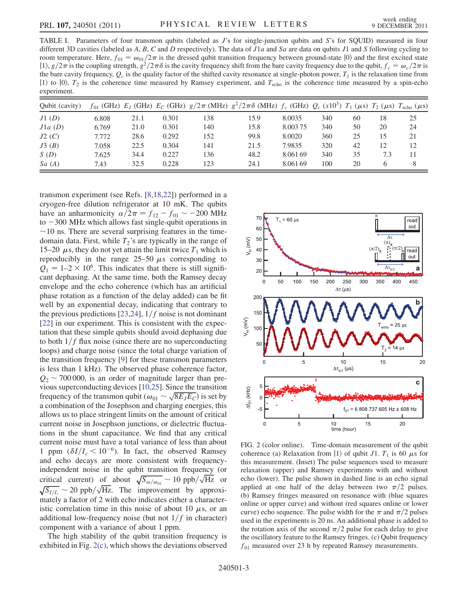TABLE I. Parameters of four transmon qubits (labeled as J's for single-junction qubits and S's for SQUID) measured in four different 3D cavities (labeled as A, B, C and D respectively). The data of  $J1a$  and Sa are data on qubits  $J1$  and S following cycling to room temperature. Here,  $f_{01} = \omega_{01}/2\pi$  is the dressed qubit transition frequency between ground-state  $|0\rangle$  and the first excited state  $|1\rangle$ ,  $g/2\pi$  is the coupling strength,  $g^2/2\pi\delta$  is the cavity frequency shift from the bare cavity frequency due to the qubit,  $f_c = \omega_c/2\pi$  is the bare cavity frequency,  $Q_c$  is the quality factor of the shifted cavity resonance at single-photon power,  $T_1$  is the relaxation time from  $|1\rangle$  to  $|0\rangle$ ,  $T_2$  is the coherence time measured by Ramsey experiment, and  $T_{\text{echo}}$  is the coherence time measured by a spin-echo experiment.

| Oubit (cavity) |       |      |       |     | $f_{01}$ (GHz) $E_J$ (GHz) $E_C$ (GHz) $g/2\pi$ (MHz) $g^2/2\pi\delta$ (MHz) $f_c$ (GHz) $Q_c$ (x10 <sup>3</sup> ) $T_1$ ( $\mu$ s) $T_2$ ( $\mu$ s) $T_{\text{echo}}$ ( $\mu$ s) |          |     |    |     |    |
|----------------|-------|------|-------|-----|-----------------------------------------------------------------------------------------------------------------------------------------------------------------------------------|----------|-----|----|-----|----|
| J1(D)          | 6.808 | 21.1 | 0.301 | 138 | 15.9                                                                                                                                                                              | 8.0035   | 340 | 60 | 18  | 25 |
| J1a(D)         | 6.769 | 21.0 | 0.301 | 140 | 15.8                                                                                                                                                                              | 8.003.75 | 340 | 50 | 20  | 24 |
| J2(C)          | 7.772 | 28.6 | 0.292 | 152 | 99.8                                                                                                                                                                              | 8.0020   | 360 | 25 | 15  | 21 |
| J3(B)          | 7.058 | 22.5 | 0.304 | 141 | 21.5                                                                                                                                                                              | 7.9835   | 320 | 42 | 12  | 12 |
| S(D)           | 7.625 | 34.4 | 0.227 | 136 | 48.2                                                                                                                                                                              | 8.061.69 | 340 | 35 | 7.3 | 11 |
| Sa(A)          | 7.43  | 32.5 | 0.228 | 123 | 24.1                                                                                                                                                                              | 8.061.69 | 100 | 20 | h   | 8  |

transmon experiment (see Refs. [8,18,22]) performed in a cryogen-free dilution refrigerator at 10 mK. The qubits have an anharmonicity  $\alpha/2\pi = f_{12} - f_{01} \sim -200 \text{ MHz}$ <br>to  $-300 \text{ MHz}$  which allows fast single-qubit operations in to  $-300$  MHz which allows fast single-qubit operations in  $\sim$ 10 ns. There are several surprising features in the timedomain data. First, while  $T_2$ 's are typically in the range of 15–20  $\mu$ s, they do not yet attain the limit twice  $T_1$  which is<br>reproducibly in the range 25–50  $\mu$ s corresponding to reproducibly in the range 25–50  $\mu$ s corresponding to  $\Omega = 1-2 \times 10^6$  This indicates that there is still signifi- $Q_1 = 1-2 \times 10^6$ . This indicates that there is still significant dephasing. At the same time, both the Ramsey decay envelope and the echo coherence (which has an artificial phase rotation as a function of the delay added) can be fit well by an exponential decay, indicating that contrary to the previous predictions [23,24],  $1/f$  noise is not dominant [22] in our experiment. This is consistent with the expectation that these simple qubits should avoid dephasing due to both  $1/f$  flux noise (since there are no superconducting loops) and charge noise (since the total charge variation of the transition frequency [9] for these transmon parameters is less than 1 kHz). The observed phase coherence factor,  $Q_2 \sim 700\,000$ , is an order of magnitude larger than pre-<br>vious superconducting devices [10.25]. Since the transition vious superconducting devices [10,25]. Since the transition frequency of the transmon qubit  $(\omega_{01} \sim \sqrt{8E_JE_C})$  is set by<br>a combination of the Iosenhson and charging energies this a combination of the Josephson and charging energies, this allows us to place stringent limits on the amount of critical current noise in Josephson junctions, or dielectric fluctuations in the shunt capacitance. We find that any critical current noise must have a total variance of less than about 1 ppm  $(\delta I/I_c \le 10^{-6})$ . In fact, the observed Ramsey and echo decays are more consistent with frequencyindependent noise in the qubit transition frequency (or critical current) of about  $\sqrt{S_{\omega/\omega_{01}}} \sim 10 \text{ ppb}/\sqrt{\text{Hz}}$  or  $\sqrt{S_{I/I_c}} \sim 20 \text{ ppb}/\sqrt{\text{Hz}}$ . The improvement by approximately a factor of 2 with echo indicates either a character- $\sum_{i=1}^{\infty}$  a factor of 2 with echo indicates either a characteristic correlation time in this noise of about 10  $\mu$ s, or an additional low-frequency noise (but not  $1/f$  in character) additional low-frequency noise (but not  $1/f$  in character) component with a variance of about 1 ppm.

The high stability of the qubit transition frequency is exhibited in Fig. 2(c), which shows the deviations observed



FIG. 2 (color online). Time-domain measurement of the qubit coherence (a) Relaxation from |1) of qubit  $J_1$ .  $T_1$  is 60  $\mu$ s for this measurement (Inset). The pulse sequences used to measure this measurement. (Inset) The pulse sequences used to measure relaxation (upper) and Ramsey experiments with and without echo (lower). The pulse shown in dashed line is an echo signal applied at one half of the delay between two  $\pi/2$  pulses. (b) Ramsey fringes measured on resonance with (blue squares online or upper curve) and without (red squares online or lower curve) echo sequence. The pulse width for the  $\pi$  and  $\pi/2$  pulses used in the experiments is 20 ns. An additional phase is added to the rotation axis of the second  $\pi/2$  pulse for each delay to give the oscillatory feature to the Ramsey fringes. (c) Qubit frequency  $f_{01}$  measured over 23 h by repeated Ramsey measurements.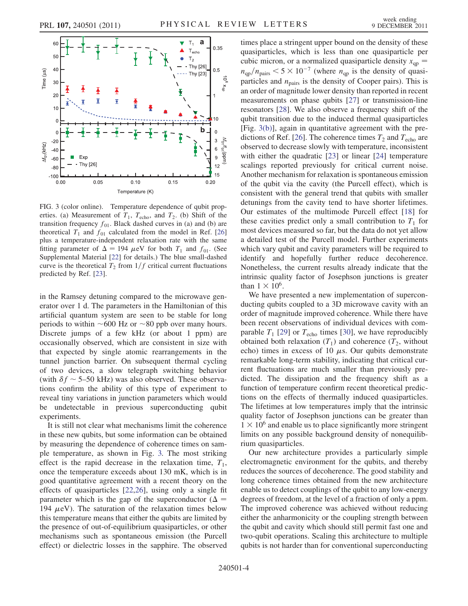

FIG. 3 (color online). Temperature dependence of qubit properties. (a) Measurement of  $T_1$ ,  $T_{echo}$ , and  $T_2$ . (b) Shift of the transition frequency  $f_{01}$ . Black dashed curves in (a) and (b) are theoretical  $T_1$  and  $f_{01}$  calculated from the model in Ref. [26] plus a temperature-independent relaxation rate with the same fitting parameter of  $\Delta = 194 \mu \text{eV}$  for both  $T_1$  and  $f_{01}$ . (See<br>Supplemental Material [22] for details) The blue small-dashed Supplemental Material [22] for details.) The blue small-dashed curve is the theoretical  $T_2$  from  $1/f$  critical current fluctuations predicted by Ref. [23].

in the Ramsey detuning compared to the microwave generator over 1 d. The parameters in the Hamiltonian of this artificial quantum system are seen to be stable for long periods to within  $\sim 600$  Hz or  $\sim 80$  ppb over many hours. Discrete jumps of a few kHz (or about 1 ppm) are occasionally observed, which are consistent in size with that expected by single atomic rearrangements in the tunnel junction barrier. On subsequent thermal cycling of two devices, a slow telegraph switching behavior (with  $\delta f \sim 5{\text -}50$  kHz) was also observed. These observations confirm the ability of this type of experiment to tions confirm the ability of this type of experiment to reveal tiny variations in junction parameters which would be undetectable in previous superconducting qubit experiments.

It is still not clear what mechanisms limit the coherence in these new qubits, but some information can be obtained by measuring the dependence of coherence times on sample temperature, as shown in Fig. 3. The most striking effect is the rapid decrease in the relaxation time,  $T_1$ , once the temperature exceeds about 130 mK, which is in good quantitative agreement with a recent theory on the effects of quasiparticles [22,26], using only a single fit parameter which is the gap of the superconductor ( $\Delta$  = 194  $\mu$ eV). The saturation of the relaxation times below<br>this temperature means that either the qubits are limited by this temperature means that either the qubits are limited by the presence of out-of-equilibrium quasiparticles, or other mechanisms such as spontaneous emission (the Purcell effect) or dielectric losses in the sapphire. The observed times place a stringent upper bound on the density of these quasiparticles, which is less than one quasiparticle per cubic micron, or a normalized quasiparticle density  $x_{qp}$  =  $n_{\text{qnp}}/n_{\text{pairs}} < 5 \times 10^{-7}$  (where  $n_{\text{qp}}$  is the density of quasiparticles and  $n_{\text{pairs}}$  is the density of Cooper pairs). This is an order of magnitude lower density than reported in recent measurements on phase qubits [27] or transmission-line resonators [28]. We also observe a frequency shift of the qubit transition due to the induced thermal quasiparticles [Fig. 3(b)], again in quantitative agreement with the predictions of Ref. [26]. The coherence times  $T_2$  and  $T_{echo}$  are observed to decrease slowly with temperature, inconsistent with either the quadratic [23] or linear [24] temperature scalings reported previously for critical current noise. Another mechanism for relaxation is spontaneous emission of the qubit via the cavity (the Purcell effect), which is consistent with the general trend that qubits with smaller detunings from the cavity tend to have shorter lifetimes. Our estimates of the multimode Purcell effect [18] for these cavities predict only a small contribution to  $T_1$  for most devices measured so far, but the data do not yet allow a detailed test of the Purcell model. Further experiments which vary qubit and cavity parameters will be required to identify and hopefully further reduce decoherence. Nonetheless, the current results already indicate that the intrinsic quality factor of Josephson junctions is greater than  $1 \times 10^6$ .

We have presented a new implementation of superconducting qubits coupled to a 3D microwave cavity with an order of magnitude improved coherence. While there have been recent observations of individual devices with comparable  $T_1$  [29] or  $T_{\text{echo}}$  times [30], we have reproducibly obtained both relaxation  $(T_1)$  and coherence  $(T_2,$  without echo) times in excess of 10  $\mu$ s. Our qubits demonstrate<br>remarkable long-term stability indicating that critical curremarkable long-term stability, indicating that critical current fluctuations are much smaller than previously predicted. The dissipation and the frequency shift as a function of temperature confirm recent theoretical predictions on the effects of thermally induced quasiparticles. The lifetimes at low temperatures imply that the intrinsic quality factor of Josephson junctions can be greater than  $1 \times 10^6$  and enable us to place significantly more stringent limits on any possible background density of nonequilibrium quasiparticles.

Our new architecture provides a particularly simple electromagnetic environment for the qubits, and thereby reduces the sources of decoherence. The good stability and long coherence times obtained from the new architecture enable us to detect couplings of the qubit to any low-energy degrees of freedom, at the level of a fraction of only a ppm. The improved coherence was achieved without reducing either the anharmonicity or the coupling strength between the qubit and cavity which should still permit fast one and two-qubit operations. Scaling this architecture to multiple qubits is not harder than for conventional superconducting